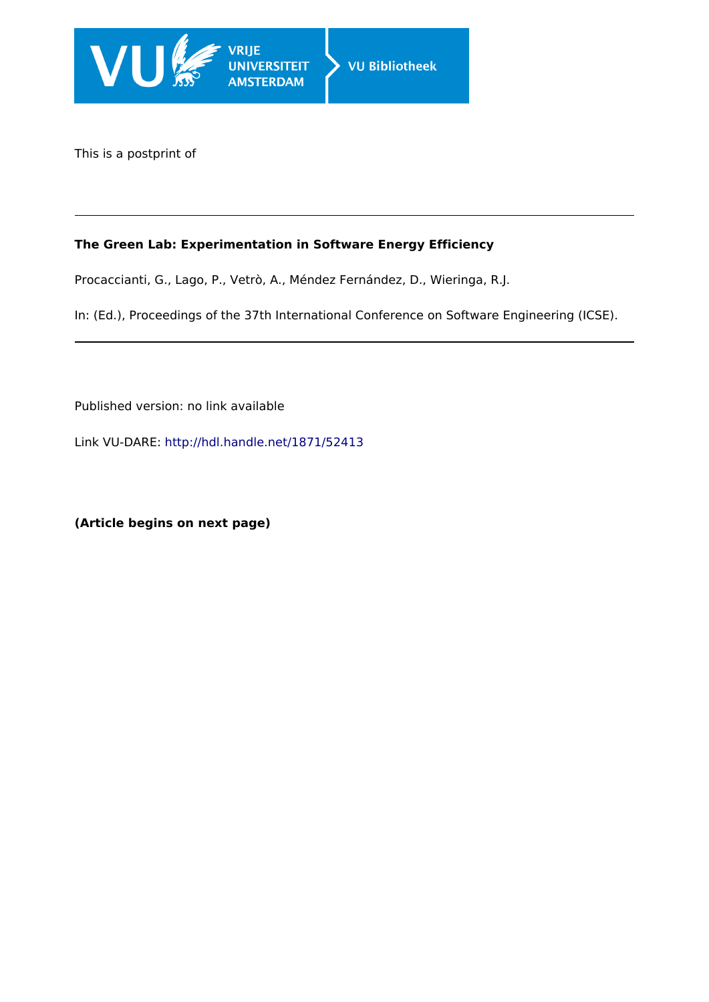

This is a postprint of

# **The Green Lab: Experimentation in Software Energy Efficiency**

Procaccianti, G., Lago, P., Vetrò, A., Méndez Fernández, D., Wieringa, R.J.

In: (Ed.), Proceedings of the 37th International Conference on Software Engineering (ICSE).

Published version: no link available

Link VU-DARE:<http://hdl.handle.net/1871/52413>

**(Article begins on next page)**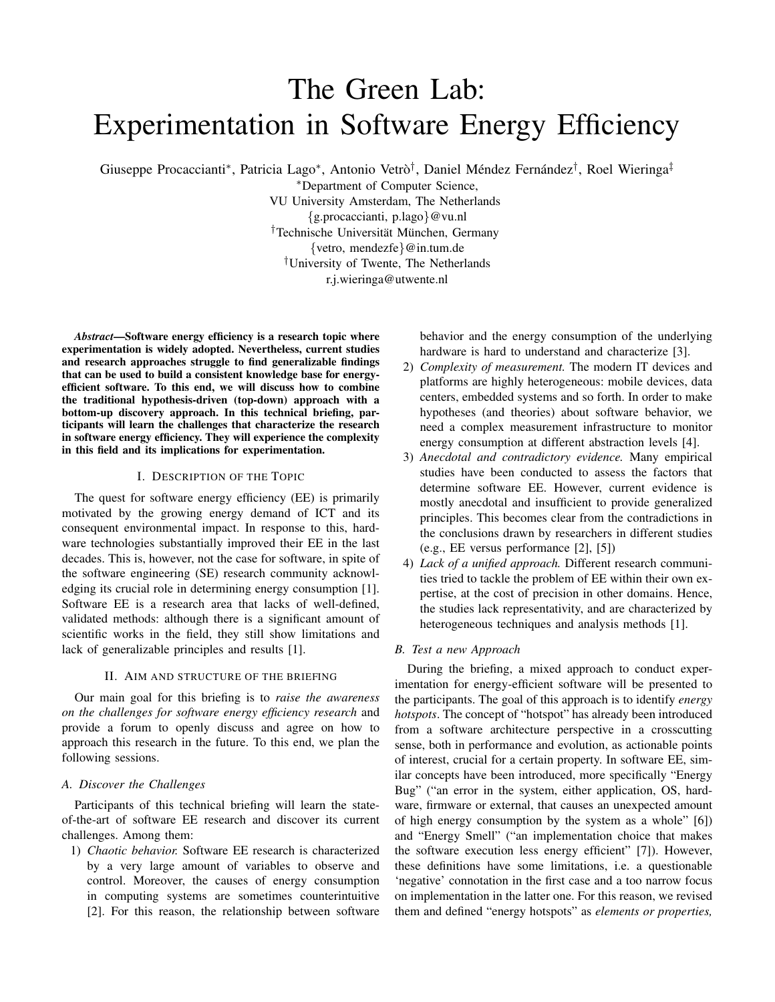# The Green Lab: Experimentation in Software Energy Efficiency

Giuseppe Procaccianti\*, Patricia Lago\*, Antonio Vetrò<sup>†</sup>, Daniel Méndez Fernández<sup>†</sup>, Roel Wieringa<sup>‡</sup>

<sup>∗</sup>Department of Computer Science, VU University Amsterdam, The Netherlands {g.procaccianti, p.lago}@vu.nl <sup>†</sup>Technische Universität München, Germany {vetro, mendezfe}@in.tum.de †University of Twente, The Netherlands r.j.wieringa@utwente.nl

*Abstract*—Software energy efficiency is a research topic where experimentation is widely adopted. Nevertheless, current studies and research approaches struggle to find generalizable findings that can be used to build a consistent knowledge base for energyefficient software. To this end, we will discuss how to combine the traditional hypothesis-driven (top-down) approach with a bottom-up discovery approach. In this technical briefing, participants will learn the challenges that characterize the research in software energy efficiency. They will experience the complexity in this field and its implications for experimentation.

#### I. DESCRIPTION OF THE TOPIC

The quest for software energy efficiency (EE) is primarily motivated by the growing energy demand of ICT and its consequent environmental impact. In response to this, hardware technologies substantially improved their EE in the last decades. This is, however, not the case for software, in spite of the software engineering (SE) research community acknowledging its crucial role in determining energy consumption [1]. Software EE is a research area that lacks of well-defined, validated methods: although there is a significant amount of scientific works in the field, they still show limitations and lack of generalizable principles and results [1].

#### II. AIM AND STRUCTURE OF THE BRIEFING

Our main goal for this briefing is to *raise the awareness on the challenges for software energy efficiency research* and provide a forum to openly discuss and agree on how to approach this research in the future. To this end, we plan the following sessions.

# *A. Discover the Challenges*

Participants of this technical briefing will learn the stateof-the-art of software EE research and discover its current challenges. Among them:

1) *Chaotic behavior.* Software EE research is characterized by a very large amount of variables to observe and control. Moreover, the causes of energy consumption in computing systems are sometimes counterintuitive [2]. For this reason, the relationship between software

behavior and the energy consumption of the underlying hardware is hard to understand and characterize [3].

- 2) *Complexity of measurement.* The modern IT devices and platforms are highly heterogeneous: mobile devices, data centers, embedded systems and so forth. In order to make hypotheses (and theories) about software behavior, we need a complex measurement infrastructure to monitor energy consumption at different abstraction levels [4].
- 3) *Anecdotal and contradictory evidence.* Many empirical studies have been conducted to assess the factors that determine software EE. However, current evidence is mostly anecdotal and insufficient to provide generalized principles. This becomes clear from the contradictions in the conclusions drawn by researchers in different studies (e.g., EE versus performance [2], [5])
- 4) *Lack of a unified approach.* Different research communities tried to tackle the problem of EE within their own expertise, at the cost of precision in other domains. Hence, the studies lack representativity, and are characterized by heterogeneous techniques and analysis methods [1].

### *B. Test a new Approach*

During the briefing, a mixed approach to conduct experimentation for energy-efficient software will be presented to the participants. The goal of this approach is to identify *energy hotspots*. The concept of "hotspot" has already been introduced from a software architecture perspective in a crosscutting sense, both in performance and evolution, as actionable points of interest, crucial for a certain property. In software EE, similar concepts have been introduced, more specifically "Energy Bug" ("an error in the system, either application, OS, hardware, firmware or external, that causes an unexpected amount of high energy consumption by the system as a whole" [6]) and "Energy Smell" ("an implementation choice that makes the software execution less energy efficient" [7]). However, these definitions have some limitations, i.e. a questionable 'negative' connotation in the first case and a too narrow focus on implementation in the latter one. For this reason, we revised them and defined "energy hotspots" as *elements or properties,*